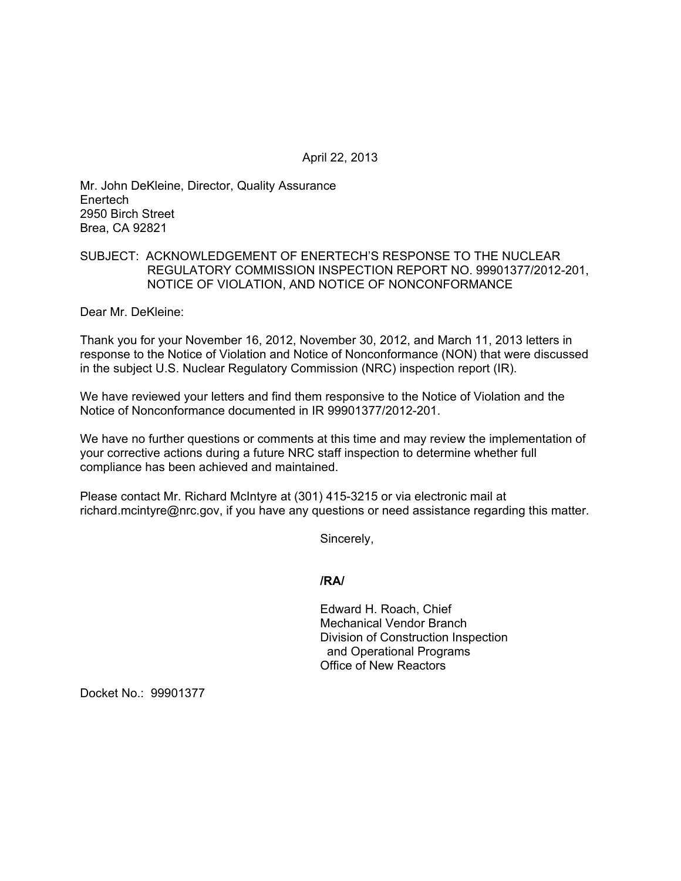April 22, 2013

Mr. John DeKleine, Director, Quality Assurance **Enertech** 2950 Birch Street Brea, CA 92821

## SUBJECT: ACKNOWLEDGEMENT OF ENERTECH'S RESPONSE TO THE NUCLEAR REGULATORY COMMISSION INSPECTION REPORT NO. 99901377/2012-201, NOTICE OF VIOLATION, AND NOTICE OF NONCONFORMANCE

Dear Mr. DeKleine:

Thank you for your November 16, 2012, November 30, 2012, and March 11, 2013 letters in response to the Notice of Violation and Notice of Nonconformance (NON) that were discussed in the subject U.S. Nuclear Regulatory Commission (NRC) inspection report (IR).

We have reviewed your letters and find them responsive to the Notice of Violation and the Notice of Nonconformance documented in IR 99901377/2012-201.

We have no further questions or comments at this time and may review the implementation of your corrective actions during a future NRC staff inspection to determine whether full compliance has been achieved and maintained.

Please contact Mr. Richard McIntyre at (301) 415-3215 or via electronic mail at richard.mcintyre@nrc.gov, if you have any questions or need assistance regarding this matter.

Sincerely,

## **/RA/**

Edward H. Roach, Chief Mechanical Vendor Branch Division of Construction Inspection and Operational Programs Office of New Reactors

Docket No.: 99901377